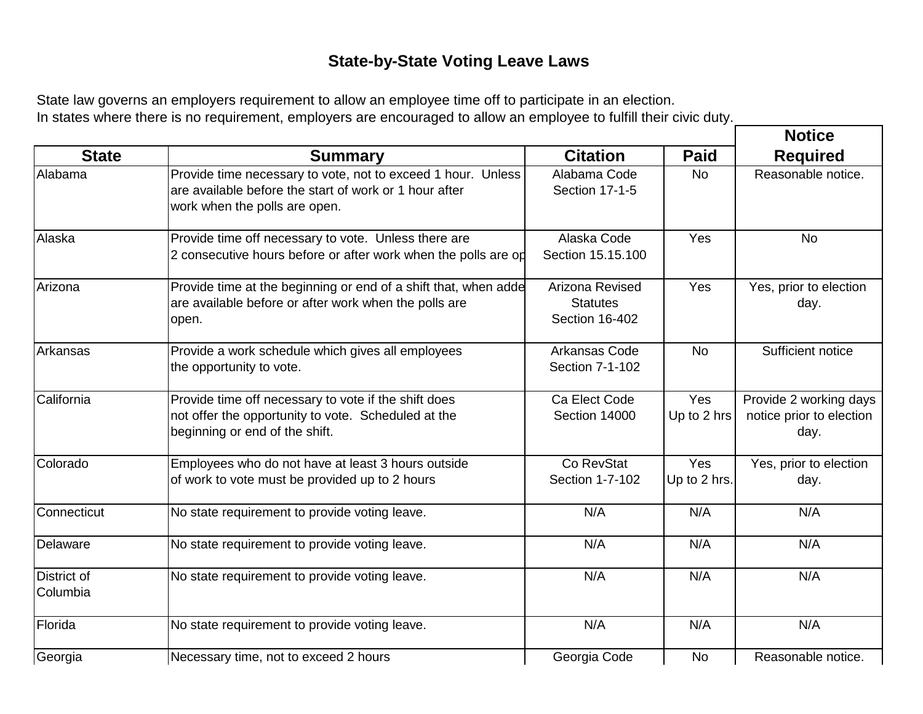## **State-by-State Voting Leave Laws**

State law governs an employers requirement to allow an employee time off to participate in an election. In states where there is no requirement, employers are encouraged to allow an employee to fulfill their civic duty.

|                         |                                                                                                                                                         |                                                      |                     | <b>Notice</b><br><b>Required</b>                           |
|-------------------------|---------------------------------------------------------------------------------------------------------------------------------------------------------|------------------------------------------------------|---------------------|------------------------------------------------------------|
| <b>State</b>            | <b>Summary</b>                                                                                                                                          | <b>Citation</b>                                      | <b>Paid</b>         |                                                            |
| Alabama                 | Provide time necessary to vote, not to exceed 1 hour. Unless<br>are available before the start of work or 1 hour after<br>work when the polls are open. | Alabama Code<br>Section 17-1-5                       | No                  | Reasonable notice.                                         |
| Alaska                  | Provide time off necessary to vote. Unless there are<br>2 consecutive hours before or after work when the polls are op                                  | Alaska Code<br>Section 15.15.100                     | Yes                 | No                                                         |
| Arizona                 | Provide time at the beginning or end of a shift that, when adde<br>are available before or after work when the polls are<br>open.                       | Arizona Revised<br><b>Statutes</b><br>Section 16-402 | Yes                 | Yes, prior to election<br>day.                             |
| Arkansas                | Provide a work schedule which gives all employees<br>the opportunity to vote.                                                                           | Arkansas Code<br>Section 7-1-102                     | <b>No</b>           | Sufficient notice                                          |
| California              | Provide time off necessary to vote if the shift does<br>not offer the opportunity to vote. Scheduled at the<br>beginning or end of the shift.           | Ca Elect Code<br>Section 14000                       | Yes<br>Up to 2 hrs  | Provide 2 working days<br>notice prior to election<br>day. |
| Colorado                | Employees who do not have at least 3 hours outside<br>of work to vote must be provided up to 2 hours                                                    | Co RevStat<br>Section 1-7-102                        | Yes<br>Up to 2 hrs. | Yes, prior to election<br>day.                             |
| Connecticut             | No state requirement to provide voting leave.                                                                                                           | N/A                                                  | N/A                 | N/A                                                        |
| Delaware                | No state requirement to provide voting leave.                                                                                                           | N/A                                                  | N/A                 | N/A                                                        |
| District of<br>Columbia | No state requirement to provide voting leave.                                                                                                           | N/A                                                  | N/A                 | N/A                                                        |
| Florida                 | No state requirement to provide voting leave.                                                                                                           | N/A                                                  | N/A                 | N/A                                                        |
| Georgia                 | Necessary time, not to exceed 2 hours                                                                                                                   | Georgia Code                                         | <b>No</b>           | Reasonable notice.                                         |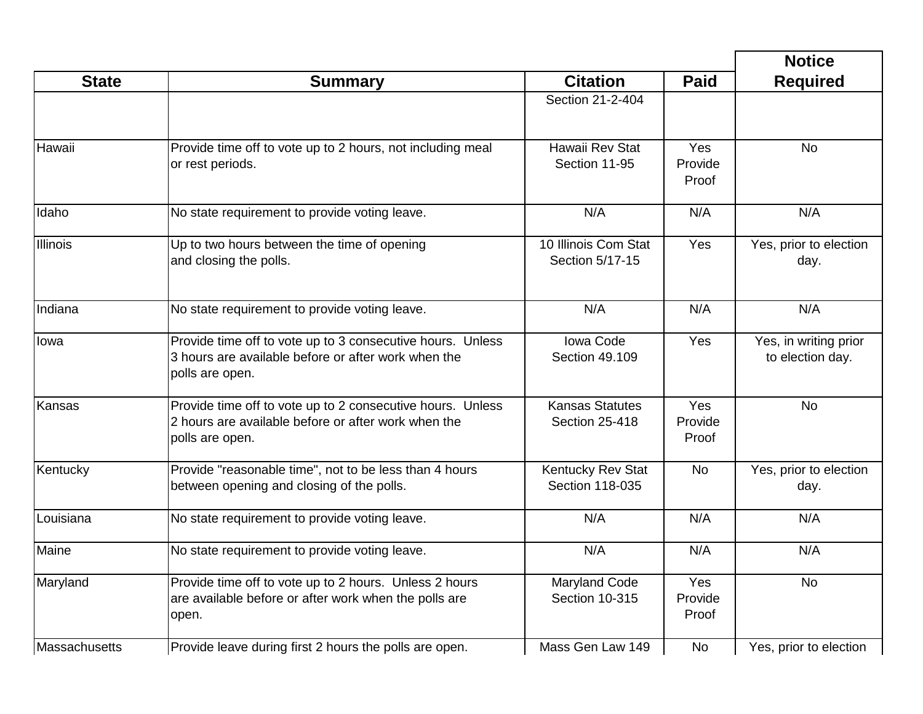|               |                                                                                                                                      |                                                 |                                | <b>Notice</b>                             |
|---------------|--------------------------------------------------------------------------------------------------------------------------------------|-------------------------------------------------|--------------------------------|-------------------------------------------|
| <b>State</b>  | <b>Summary</b>                                                                                                                       | <b>Citation</b>                                 | <b>Paid</b>                    | <b>Required</b>                           |
|               |                                                                                                                                      | Section 21-2-404                                |                                |                                           |
| Hawaii        | Provide time off to vote up to 2 hours, not including meal<br>or rest periods.                                                       | Hawaii Rev Stat<br>Section 11-95                | <b>Yes</b><br>Provide<br>Proof | <b>No</b>                                 |
| Idaho         | No state requirement to provide voting leave.                                                                                        | N/A                                             | N/A                            | N/A                                       |
| Illinois      | Up to two hours between the time of opening<br>and closing the polls.                                                                | 10 Illinois Com Stat<br>Section 5/17-15         | Yes                            | Yes, prior to election<br>day.            |
| Indiana       | No state requirement to provide voting leave.                                                                                        | N/A                                             | N/A                            | N/A                                       |
| Iowa          | Provide time off to vote up to 3 consecutive hours. Unless<br>3 hours are available before or after work when the<br>polls are open. | <b>Iowa Code</b><br>Section 49.109              | Yes                            | Yes, in writing prior<br>to election day. |
| Kansas        | Provide time off to vote up to 2 consecutive hours. Unless<br>2 hours are available before or after work when the<br>polls are open. | <b>Kansas Statutes</b><br><b>Section 25-418</b> | Yes<br>Provide<br>Proof        | <b>No</b>                                 |
| Kentucky      | Provide "reasonable time", not to be less than 4 hours<br>between opening and closing of the polls.                                  | Kentucky Rev Stat<br>Section 118-035            | <b>No</b>                      | Yes, prior to election<br>day.            |
| Louisiana     | No state requirement to provide voting leave.                                                                                        | N/A                                             | N/A                            | N/A                                       |
| Maine         | No state requirement to provide voting leave.                                                                                        | N/A                                             | N/A                            | N/A                                       |
| Maryland      | Provide time off to vote up to 2 hours. Unless 2 hours<br>are available before or after work when the polls are<br>open.             | <b>Maryland Code</b><br>Section 10-315          | Yes<br>Provide<br>Proof        | No                                        |
| Massachusetts | Provide leave during first 2 hours the polls are open.                                                                               | Mass Gen Law 149                                | No                             | Yes, prior to election                    |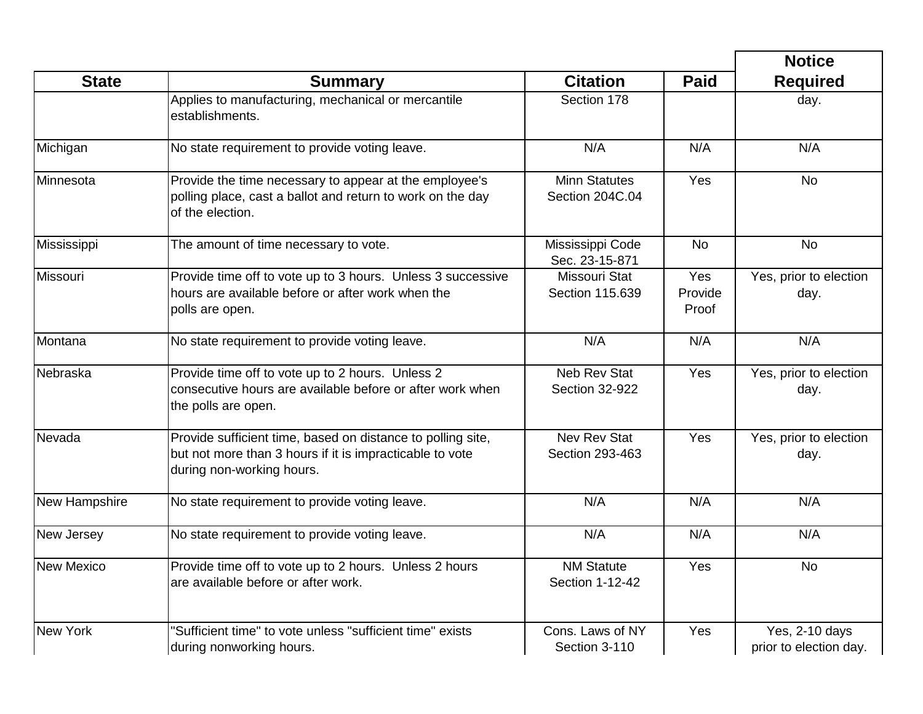|                   | <b>Notice</b>                                                                                                                                        |                                              |                         |                                          |
|-------------------|------------------------------------------------------------------------------------------------------------------------------------------------------|----------------------------------------------|-------------------------|------------------------------------------|
| <b>State</b>      | <b>Summary</b>                                                                                                                                       | <b>Citation</b>                              | <b>Paid</b>             | <b>Required</b>                          |
|                   | Applies to manufacturing, mechanical or mercantile<br>establishments.                                                                                | Section 178                                  |                         | day.                                     |
| Michigan          | No state requirement to provide voting leave.                                                                                                        | N/A                                          | N/A                     | N/A                                      |
| Minnesota         | Provide the time necessary to appear at the employee's<br>polling place, cast a ballot and return to work on the day<br>of the election.             | <b>Minn Statutes</b><br>Section 204C.04      | Yes                     | <b>No</b>                                |
| Mississippi       | The amount of time necessary to vote.                                                                                                                | Mississippi Code<br>Sec. 23-15-871           | <b>No</b>               | <b>No</b>                                |
| Missouri          | Provide time off to vote up to 3 hours. Unless 3 successive<br>hours are available before or after work when the<br>polls are open.                  | Missouri Stat<br>Section 115.639             | Yes<br>Provide<br>Proof | Yes, prior to election<br>day.           |
| Montana           | No state requirement to provide voting leave.                                                                                                        | N/A                                          | N/A                     | N/A                                      |
| Nebraska          | Provide time off to vote up to 2 hours. Unless 2<br>consecutive hours are available before or after work when<br>the polls are open.                 | <b>Neb Rev Stat</b><br><b>Section 32-922</b> | Yes                     | Yes, prior to election<br>day.           |
| Nevada            | Provide sufficient time, based on distance to polling site,<br>but not more than 3 hours if it is impracticable to vote<br>during non-working hours. | <b>Nev Rev Stat</b><br>Section 293-463       | Yes                     | Yes, prior to election<br>day.           |
| New Hampshire     | No state requirement to provide voting leave.                                                                                                        | N/A                                          | N/A                     | N/A                                      |
| New Jersey        | No state requirement to provide voting leave.                                                                                                        | N/A                                          | N/A                     | N/A                                      |
| <b>New Mexico</b> | Provide time off to vote up to 2 hours. Unless 2 hours<br>are available before or after work.                                                        | <b>NM Statute</b><br>Section 1-12-42         | Yes                     | <b>No</b>                                |
| New York          | "Sufficient time" to vote unless "sufficient time" exists<br>during nonworking hours.                                                                | Cons. Laws of NY<br>Section 3-110            | Yes                     | Yes, 2-10 days<br>prior to election day. |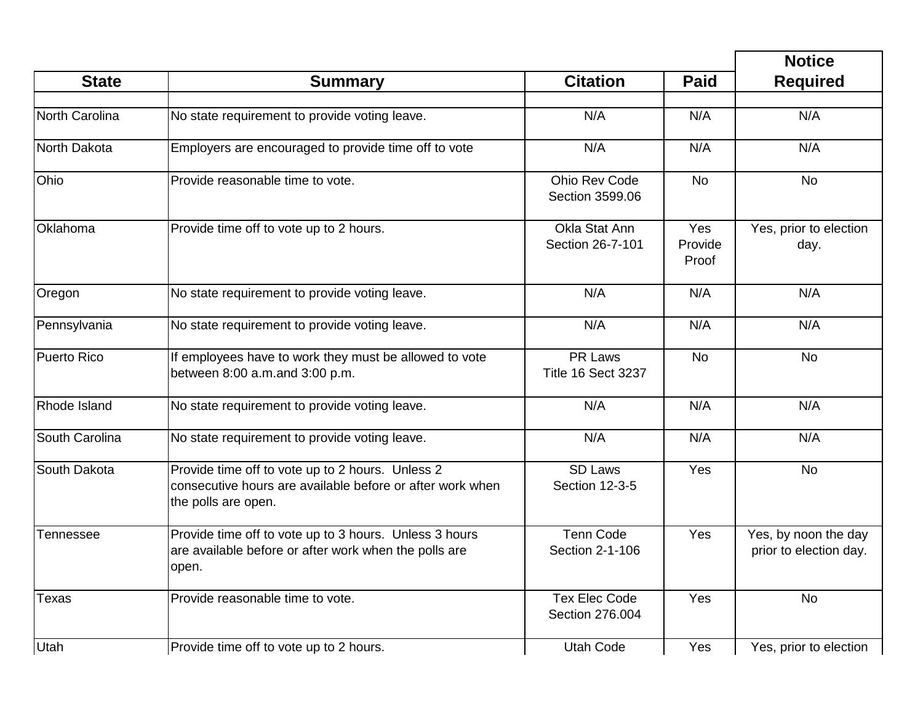| <b>State</b>   | <b>Summary</b>                                                                                                                       | <b>Citation</b>                         | <b>Paid</b>             | <b>Required</b>                                |
|----------------|--------------------------------------------------------------------------------------------------------------------------------------|-----------------------------------------|-------------------------|------------------------------------------------|
| North Carolina | No state requirement to provide voting leave.                                                                                        | N/A                                     | N/A                     | N/A                                            |
|                |                                                                                                                                      |                                         |                         |                                                |
| North Dakota   | Employers are encouraged to provide time off to vote                                                                                 | N/A                                     | N/A                     | N/A                                            |
| Ohio           | Provide reasonable time to vote.                                                                                                     | Ohio Rev Code<br>Section 3599.06        | <b>No</b>               | <b>No</b>                                      |
| Oklahoma       | Provide time off to vote up to 2 hours.                                                                                              | Okla Stat Ann<br>Section 26-7-101       | Yes<br>Provide<br>Proof | Yes, prior to election<br>day.                 |
| Oregon         | No state requirement to provide voting leave.                                                                                        | N/A                                     | N/A                     | N/A                                            |
| Pennsylvania   | No state requirement to provide voting leave.                                                                                        | N/A                                     | N/A                     | N/A                                            |
| Puerto Rico    | If employees have to work they must be allowed to vote<br>between 8:00 a.m.and 3:00 p.m.                                             | PR Laws<br><b>Title 16 Sect 3237</b>    | <b>No</b>               | <b>No</b>                                      |
| Rhode Island   | No state requirement to provide voting leave.                                                                                        | N/A                                     | N/A                     | N/A                                            |
| South Carolina | No state requirement to provide voting leave.                                                                                        | N/A                                     | N/A                     | N/A                                            |
| South Dakota   | Provide time off to vote up to 2 hours. Unless 2<br>consecutive hours are available before or after work when<br>the polls are open. | <b>SD Laws</b><br><b>Section 12-3-5</b> | Yes                     | <b>No</b>                                      |
| Tennessee      | Provide time off to vote up to 3 hours. Unless 3 hours<br>are available before or after work when the polls are<br>open.             | <b>Tenn Code</b><br>Section 2-1-106     | Yes                     | Yes, by noon the day<br>prior to election day. |
| <b>Texas</b>   | Provide reasonable time to vote.                                                                                                     | <b>Tex Elec Code</b><br>Section 276.004 | Yes                     | <b>No</b>                                      |
| Utah           | Provide time off to vote up to 2 hours.                                                                                              | <b>Utah Code</b>                        | Yes                     | Yes, prior to election                         |